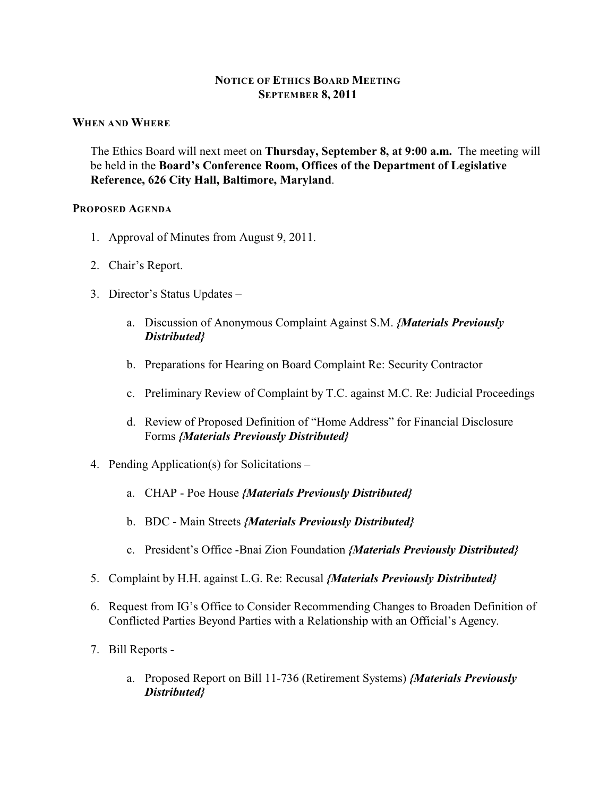## **NOTICE OF ETHICS BOARD MEETING SEPTEMBER 8, 2011**

#### **WHEN AND WHERE**

The Ethics Board will next meet on **Thursday, September 8, at 9:00 a.m.** The meeting will be held in the **Board's Conference Room, Offices of the Department of Legislative Reference, 626 City Hall, Baltimore, Maryland**.

#### **PROPOSED AGENDA**

- 1. Approval of Minutes from August 9, 2011.
- 2. Chair's Report.
- 3. Director's Status Updates
	- a. Discussion of Anonymous Complaint Against S.M. *{Materials Previously Distributed}*
	- b. Preparations for Hearing on Board Complaint Re: Security Contractor
	- c. Preliminary Review of Complaint by T.C. against M.C. Re: Judicial Proceedings
	- d. Review of Proposed Definition of "Home Address" for Financial Disclosure Forms *{Materials Previously Distributed}*
- 4. Pending Application(s) for Solicitations
	- a. CHAP Poe House *{Materials Previously Distributed}*
	- b. BDC Main Streets *{Materials Previously Distributed}*
	- c. President's Office -Bnai Zion Foundation *{Materials Previously Distributed}*
- 5. Complaint by H.H. against L.G. Re: Recusal *{Materials Previously Distributed}*
- 6. Request from IG's Office to Consider Recommending Changes to Broaden Definition of Conflicted Parties Beyond Parties with a Relationship with an Official's Agency.
- 7. Bill Reports
	- a. Proposed Report on Bill 11-736 (Retirement Systems) *{Materials Previously Distributed}*